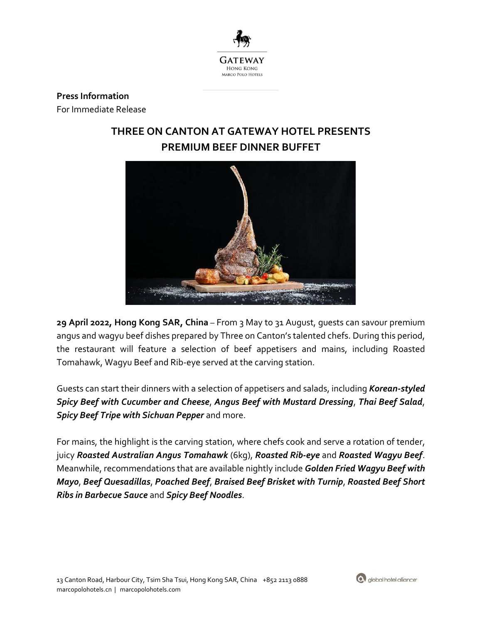

**Press Information** For Immediate Release

# **THREE ON CANTON AT GATEWAY HOTEL PRESENTS PREMIUM BEEF DINNER BUFFET**



**29 April 2022, Hong Kong SAR, China** *–* From 3 May to 31 August, guests can savour premium angus and wagyu beef dishes prepared by Three on Canton's talented chefs. During this period, the restaurant will feature a selection of beef appetisers and mains, including Roasted Tomahawk, Wagyu Beef and Rib-eye served at the carving station.

Guests can start their dinners with a selection of appetisers and salads, including *Korean-styled Spicy Beef with Cucumber and Cheese*, *Angus Beef with Mustard Dressing*, *Thai Beef Salad*, *Spicy Beef Tripe with Sichuan Pepper* and more.

For mains, the highlight is the carving station, where chefs cook and serve a rotation of tender, juicy *Roasted Australian Angus Tomahawk* (6kg), *Roasted Rib-eye* and *Roasted Wagyu Beef*. Meanwhile, recommendations that are available nightly include *Golden Fried Wagyu Beef with Mayo*, *Beef Quesadillas*, *Poached Beef*, *Braised Beef Brisket with Turnip*, *Roasted Beef Short Ribs in Barbecue Sauce* and *Spicy Beef Noodles*.

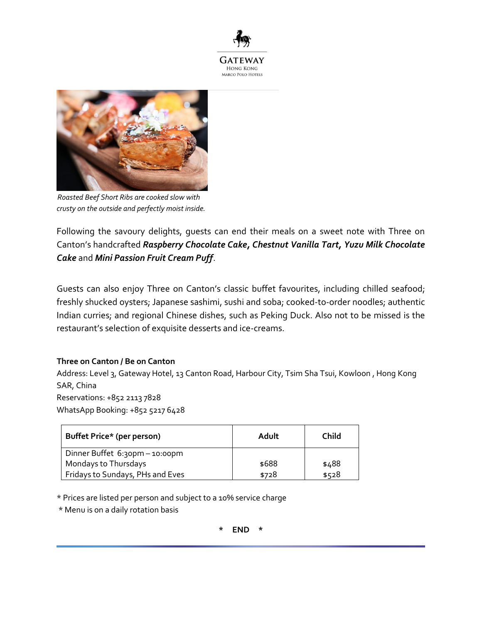



*Roasted Beef Short Ribs are cooked slow with crusty on the outside and perfectly moist inside.* 

Following the savoury delights, guests can end their meals on a sweet note with Three on Canton's handcrafted *Raspberry Chocolate Cake, Chestnut Vanilla Tart, Yuzu Milk Chocolate Cake* and *Mini Passion Fruit Cream Puff*.

Guests can also enjoy Three on Canton's classic buffet favourites, including chilled seafood; freshly shucked oysters; Japanese sashimi, sushi and soba; cooked-to-order noodles; authentic Indian curries; and regional Chinese dishes, such as Peking Duck. Also not to be missed is the restaurant's selection of exquisite desserts and ice-creams.

## **Three on Canton / Be on Canton**

Address: Level 3, Gateway Hotel, 13 Canton Road, Harbour City, Tsim Sha Tsui, Kowloon , Hong Kong SAR, China Reservations: +852 2113 7828 WhatsApp Booking: +852 5217 6428

| Buffet Price* (per person)       | Adult | Child |
|----------------------------------|-------|-------|
| Dinner Buffet 6:30pm - 10:00pm   |       |       |
| Mondays to Thursdays             | \$688 | \$488 |
| Fridays to Sundays, PHs and Eves | \$728 | \$528 |

\* Prices are listed per person and subject to a 10% service charge

\* Menu is on a daily rotation basis

**\* END \***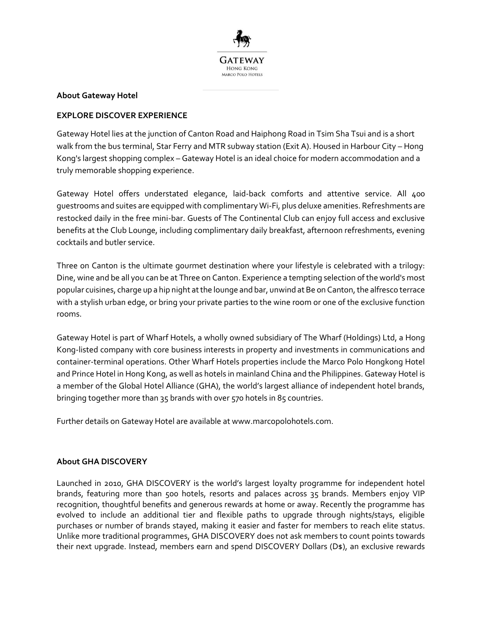

#### **About Gateway Hotel**

### **EXPLORE DISCOVER EXPERIENCE**

Gateway Hotel lies at the junction of Canton Road and Haiphong Road in Tsim Sha Tsui and is a short walk from the bus terminal, Star Ferry and MTR subway station (Exit A). Housed in Harbour City – Hong Kong's largest shopping complex – Gateway Hotel is an ideal choice for modern accommodation and a truly memorable shopping experience.

Gateway Hotel offers understated elegance, laid-back comforts and attentive service. All 400 guestrooms and suites are equipped with complimentary Wi-Fi, plus deluxe amenities. Refreshments are restocked daily in the free mini-bar. Guests of The Continental Club can enjoy full access and exclusive benefits at the Club Lounge, including complimentary daily breakfast, afternoon refreshments, evening cocktails and butler service.

Three on Canton is the ultimate gourmet destination where your lifestyle is celebrated with a trilogy: Dine, wine and be all you can be at Three on Canton. Experience a tempting selection of the world's most popular cuisines, charge up a hip night at the lounge and bar, unwind at Be on Canton, the alfresco terrace with a stylish urban edge, or bring your private parties to the wine room or one of the exclusive function rooms.

Gateway Hotel is part of Wharf Hotels, a wholly owned subsidiary of The Wharf (Holdings) Ltd, a Hong Kong-listed company with core business interests in property and investments in communications and container-terminal operations. Other Wharf Hotels properties include the Marco Polo Hongkong Hotel and Prince Hotel in Hong Kong, as well as hotels in mainland China and the Philippines. Gateway Hotel is a member of the Global Hotel Alliance (GHA), the world's largest alliance of independent hotel brands, bringing together more than 35 brands with over 570 hotels in 85 countries.

Further details on Gateway Hotel are available at www.marcopolohotels.com.

#### **About GHA DISCOVERY**

Launched in 2010, GHA DISCOVERY is the world's largest loyalty programme for independent hotel brands, featuring more than 500 hotels, resorts and palaces across 35 brands. Members enjoy VIP recognition, thoughtful benefits and generous rewards at home or away. Recently the programme has evolved to include an additional tier and flexible paths to upgrade through nights/stays, eligible purchases or number of brands stayed, making it easier and faster for members to reach elite status. Unlike more traditional programmes, GHA DISCOVERY does not ask members to count points towards their next upgrade. Instead, members earn and spend DISCOVERY Dollars (D\$), an exclusive rewards